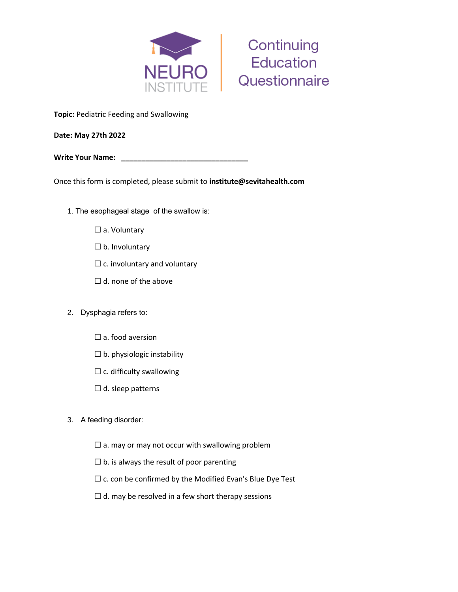



**Topic:** Pediatric Feeding and Swallowing

**Date: May 27th 2022**

**Write Your Name:** 

Once this form is completed, please submit to **institute@sevitahealth.com**

- 1. The esophageal stage of the swallow is:
	- □ a. Voluntary
	- ☐ b. Involuntary
	- $\Box$  c. involuntary and voluntary
	- $\Box$  d. none of the above
- 2. Dysphagia refers to:
	- $\square$  a. food aversion
	- $\Box$  b. physiologic instability
	- $\Box$  c. difficulty swallowing
	- $\Box$  d. sleep patterns
- 3. A feeding disorder:
	- $\Box$  a. may or may not occur with swallowing problem
	- $\square$  b. is always the result of poor parenting
	- $\Box$  c. con be confirmed by the Modified Evan's Blue Dye Test
	- $\Box$  d. may be resolved in a few short therapy sessions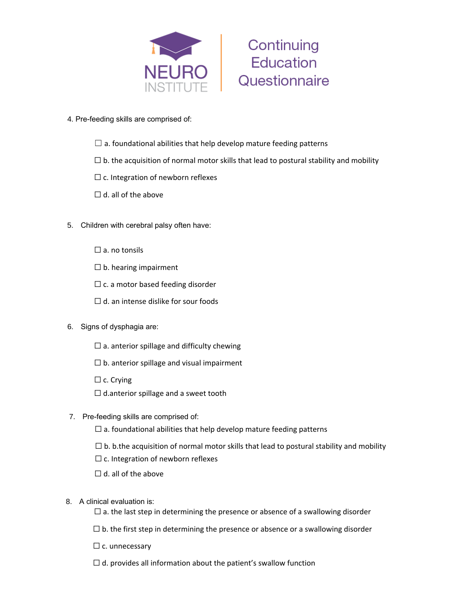



- 4. Pre-feeding skills are comprised of:
	- $\Box$  a. foundational abilities that help develop mature feeding patterns
	- $\Box$  b. the acquisition of normal motor skills that lead to postural stability and mobility
	- $\Box$  c. Integration of newborn reflexes
	- $\Box$  d. all of the above
- 5. Children with cerebral palsy often have:
	- $\square$  a. no tonsils
	- $\Box$  b. hearing impairment
	- $\Box$  c. a motor based feeding disorder
	- $\Box$  d. an intense dislike for sour foods
- 6. Signs of dysphagia are:
	- $\square$  a. anterior spillage and difficulty chewing
	- $\Box$  b. anterior spillage and visual impairment
	- $\Box$  c. Crying
	- $\Box$  d.anterior spillage and a sweet tooth
- 7. Pre-feeding skills are comprised of:
	- $\Box$  a. foundational abilities that help develop mature feeding patterns
	- $\Box$  b. b.the acquisition of normal motor skills that lead to postural stability and mobility
	- $\Box$  c. Integration of newborn reflexes
	- $\Box$  d. all of the above
- 8. A clinical evaluation is:
	- $\Box$  a. the last step in determining the presence or absence of a swallowing disorder
	- $\Box$  b. the first step in determining the presence or absence or a swallowing disorder
	- $\Box$  c. unnecessary
	- $\Box$  d. provides all information about the patient's swallow function